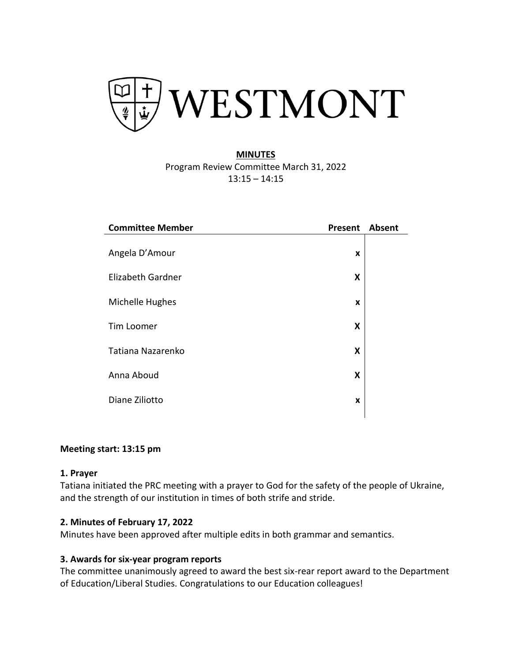

# **MINUTES** Program Review Committee March 31, 2022 13:15 – 14:15

| <b>Committee Member</b> | Present | <b>Absent</b> |
|-------------------------|---------|---------------|
|                         |         |               |
| Angela D'Amour          | X       |               |
| Elizabeth Gardner       | X       |               |
| Michelle Hughes         | X       |               |
| Tim Loomer              | X       |               |
| Tatiana Nazarenko       | X       |               |
| Anna Aboud              | X       |               |
| Diane Ziliotto          | X       |               |
|                         |         |               |

### **Meeting start: 13:15 pm**

#### **1. Prayer**

Tatiana initiated the PRC meeting with a prayer to God for the safety of the people of Ukraine, and the strength of our institution in times of both strife and stride.

### **2. [Minutes of February 17, 2022](https://www.westmont.edu/office-provost/educational-effectiveness/program-review/prc-agenda#:~:text=Minutes%20of%20February%203%2C%202022)**

Minutes have been approved after multiple edits in both grammar and semantics.

### **3. Awards for six-year program reports**

The committee unanimously agreed to award the best six-rear report award to the Department of Education/Liberal Studies. Congratulations to our Education colleagues!